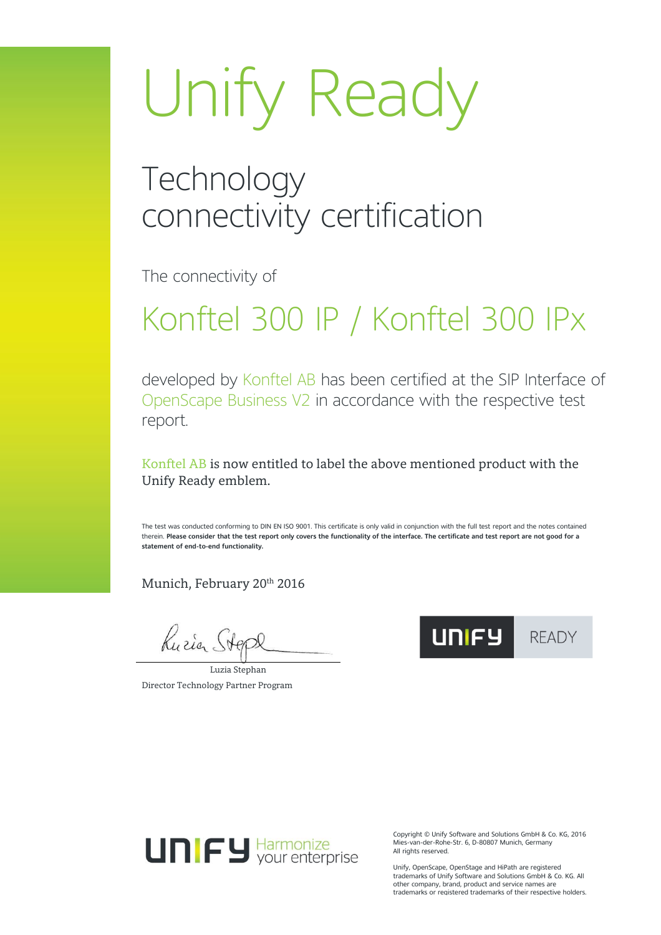# Unify Ready

#### **Technology** connectivity certification

The connectivity of

## Konftel 300 IP / Konftel 300 IPx

developed by Konftel AB has been certified at the SIP Interface of OpenScape Business V2 in accordance with the respective test report.

Konftel AB is now entitled to label the above mentioned product with the Unify Ready emblem.

The test was conducted conforming to DIN EN ISO 9001. This certificate is only valid in conjunction with the full test report and the notes contained therein. **Please consider that the test report only covers the functionality of the interface. The certificate and test report are not good for a statement of end-to-end functionality.**

Munich, February 20<sup>th</sup> 2016

Kuria Ste

Luzia Stephan Director Technology Partner Program





Copyright © Unify Software and Solutions GmbH & Co. KG, 2016 Mies-van-der-Rohe-Str. 6, D-80807 Munich, Germany All rights reserved.

Unify, OpenScape, OpenStage and HiPath are registered trademarks of Unify Software and Solutions GmbH & Co. KG. All other company, brand, product and service names are trademarks or registered trademarks of their respective holders.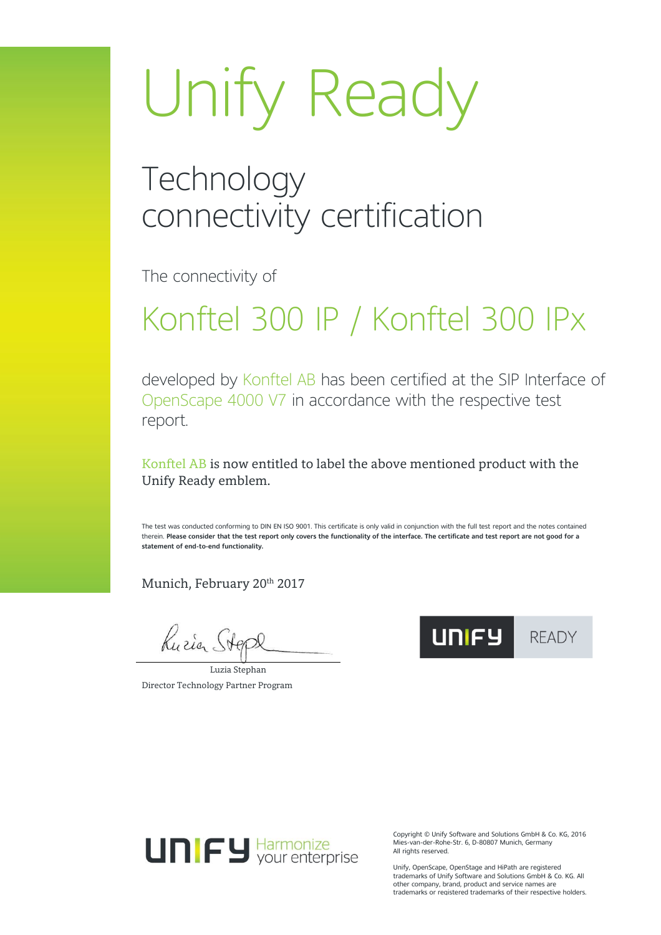# Unify Ready

#### **Technology** connectivity certification

The connectivity of

## Konftel 300 IP / Konftel 300 IPx

developed by Konftel AB has been certified at the SIP Interface of OpenScape 4000 V7 in accordance with the respective test report.

Konftel AB is now entitled to label the above mentioned product with the Unify Ready emblem.

The test was conducted conforming to DIN EN ISO 9001. This certificate is only valid in conjunction with the full test report and the notes contained therein. **Please consider that the test report only covers the functionality of the interface. The certificate and test report are not good for a statement of end-to-end functionality.**

Munich, February 20<sup>th</sup> 2017

Kuria Ste

Luzia Stephan Director Technology Partner Program





Copyright © Unify Software and Solutions GmbH & Co. KG, 2016 Mies-van-der-Rohe-Str. 6, D-80807 Munich, Germany All rights reserved.

Unify, OpenScape, OpenStage and HiPath are registered trademarks of Unify Software and Solutions GmbH & Co. KG. All other company, brand, product and service names are trademarks or registered trademarks of their respective holders.